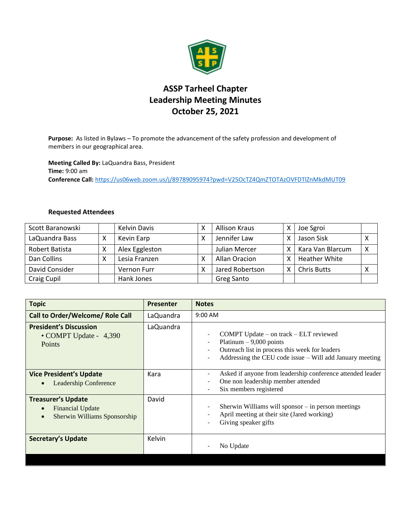

## **ASSP Tarheel Chapter Leadership Meeting Minutes October 25, 2021**

**Purpose:** As listed in Bylaws – To promote the advancement of the safety profession and development of members in our geographical area.

**Meeting Called By:** LaQuandra Bass, President **Time:** 9:00 am **Conference Call:** <https://us06web.zoom.us/j/89789095974?pwd=V25OcTZ4QmZTOTAzOVFDTlZnMkdMUT09>

## **Requested Attendees**

| Scott Baranowski |   | <b>Kelvin Davis</b> | <b>Allison Kraus</b> | x  | Joe Sgroi            |   |
|------------------|---|---------------------|----------------------|----|----------------------|---|
| LaQuandra Bass   |   | Kevin Earp          | Jennifer Law         | x  | Jason Sisk           |   |
| Robert Batista   |   | Alex Eggleston      | Julian Mercer        | X. | Kara Van Blarcum     | Χ |
| Dan Collins      | Χ | Lesia Franzen       | Allan Oracion        |    | <b>Heather White</b> |   |
| David Consider   |   | Vernon Furr         | Jared Robertson      | x  | <b>Chris Butts</b>   | ∧ |
| Craig Cupil      |   | Hank Jones          | Greg Santo           |    |                      |   |

| <b>Topic</b>                                                                                                   | <b>Presenter</b> | <b>Notes</b>                                                                                                                                                                         |
|----------------------------------------------------------------------------------------------------------------|------------------|--------------------------------------------------------------------------------------------------------------------------------------------------------------------------------------|
| <b>Call to Order/Welcome/ Role Call</b>                                                                        | LaQuandra        | $9:00$ AM                                                                                                                                                                            |
| <b>President's Discussion</b><br>• COMPT Update - 4,390<br>Points                                              | LaQuandra        | COMPT Update $-$ on track $-$ ELT reviewed<br>Platinum $-9,000$ points<br>Outreach list in process this week for leaders<br>Addressing the CEU code issue – Will add January meeting |
| <b>Vice President's Update</b><br><b>Leadership Conference</b>                                                 | Kara             | Asked if anyone from leadership conference attended leader<br>One non leadership member attended<br>Six members registered                                                           |
| <b>Treasurer's Update</b><br><b>Financial Update</b><br>$\bullet$<br>Sherwin Williams Sponsorship<br>$\bullet$ | David            | Sherwin Williams will sponsor - in person meetings<br>April meeting at their site (Jared working)<br>Giving speaker gifts                                                            |
| <b>Secretary's Update</b>                                                                                      | Kelvin           | No Update                                                                                                                                                                            |
|                                                                                                                |                  |                                                                                                                                                                                      |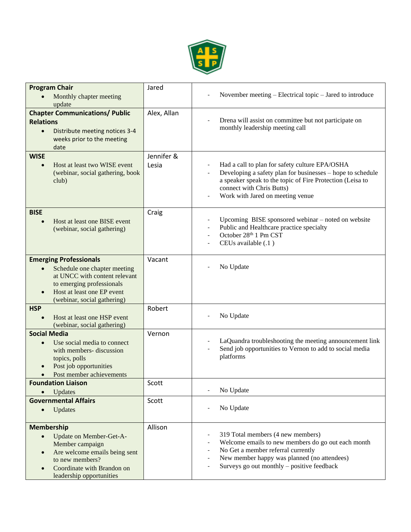

| <b>Program Chair</b><br>Monthly chapter meeting<br>update                                                                                                                                                            | Jared               | November meeting – Electrical topic – Jared to introduce                                                                                                                                                                                   |
|----------------------------------------------------------------------------------------------------------------------------------------------------------------------------------------------------------------------|---------------------|--------------------------------------------------------------------------------------------------------------------------------------------------------------------------------------------------------------------------------------------|
| <b>Chapter Communications/ Public</b><br><b>Relations</b><br>Distribute meeting notices 3-4<br>$\bullet$<br>weeks prior to the meeting<br>date                                                                       | Alex, Allan         | Drena will assist on committee but not participate on<br>monthly leadership meeting call                                                                                                                                                   |
| <b>WISE</b><br>Host at least two WISE event<br>$\bullet$<br>(webinar, social gathering, book<br>club)                                                                                                                | Jennifer &<br>Lesia | Had a call to plan for safety culture EPA/OSHA<br>Developing a safety plan for businesses – hope to schedule<br>a speaker speak to the topic of Fire Protection (Leisa to<br>connect with Chris Butts)<br>Work with Jared on meeting venue |
| <b>BISE</b><br>Host at least one BISE event<br>$\bullet$<br>(webinar, social gathering)                                                                                                                              | Craig               | Upcoming BISE sponsored webinar – noted on website<br>Public and Healthcare practice specialty<br>October 28th 1 Pm CST<br>CEUs available (.1)                                                                                             |
| <b>Emerging Professionals</b><br>Schedule one chapter meeting<br>$\bullet$<br>at UNCC with content relevant<br>to emerging professionals<br>Host at least one EP event<br>$\bullet$<br>(webinar, social gathering)   | Vacant              | No Update                                                                                                                                                                                                                                  |
| <b>HSP</b><br>Host at least one HSP event<br>(webinar, social gathering)                                                                                                                                             | Robert              | No Update                                                                                                                                                                                                                                  |
| <b>Social Media</b><br>Use social media to connect<br>$\bullet$<br>with members- discussion<br>topics, polls<br>Post job opportunities<br>Post member achievements                                                   | Vernon              | LaQuandra troubleshooting the meeting announcement link<br>Send job opportunities to Vernon to add to social media<br>platforms                                                                                                            |
| <b>Foundation Liaison</b><br>Updates<br>$\bullet$                                                                                                                                                                    | Scott               | No Update                                                                                                                                                                                                                                  |
| <b>Governmental Affairs</b><br>Updates<br>$\bullet$                                                                                                                                                                  | Scott               | No Update                                                                                                                                                                                                                                  |
| <b>Membership</b><br>Update on Member-Get-A-<br>$\bullet$<br>Member campaign<br>Are welcome emails being sent<br>$\bullet$<br>to new members?<br>Coordinate with Brandon on<br>$\bullet$<br>leadership opportunities | Allison             | 319 Total members (4 new members)<br>Welcome emails to new members do go out each month<br>No Get a member referral currently<br>New member happy was planned (no attendees)<br>Surveys go out monthly – positive feedback                 |